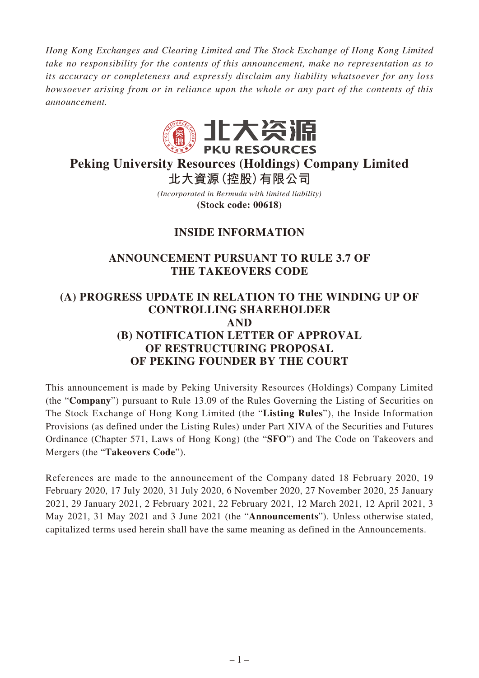*Hong Kong Exchanges and Clearing Limited and The Stock Exchange of Hong Kong Limited take no responsibility for the contents of this announcement, make no representation as to its accuracy or completeness and expressly disclaim any liability whatsoever for any loss howsoever arising from or in reliance upon the whole or any part of the contents of this announcement.*



# **Peking University Resources (Holdings) Company Limited**

*(Incorporated in Bermuda with limited liability)* **北大資源(控股)有限公司**

**(Stock code: 00618)**

# **INSIDE INFORMATION**

### **ANNOUNCEMENT PURSUANT TO RULE 3.7 OF THE TAKEOVERS CODE**

# **(A) PROGRESS UPDATE IN RELATION TO THE WINDING UP OF CONTROLLING SHAREHOLDER AND (B) NOTIFICATION LETTER OF APPROVAL OF RESTRUCTURING PROPOSAL OF PEKING FOUNDER BY THE COURT**

This announcement is made by Peking University Resources (Holdings) Company Limited (the "**Company**") pursuant to Rule 13.09 of the Rules Governing the Listing of Securities on The Stock Exchange of Hong Kong Limited (the "**Listing Rules**"), the Inside Information Provisions (as defined under the Listing Rules) under Part XIVA of the Securities and Futures Ordinance (Chapter 571, Laws of Hong Kong) (the "**SFO**") and The Code on Takeovers and Mergers (the "**Takeovers Code**").

References are made to the announcement of the Company dated 18 February 2020, 19 February 2020, 17 July 2020, 31 July 2020, 6 November 2020, 27 November 2020, 25 January 2021, 29 January 2021, 2 February 2021, 22 February 2021, 12 March 2021, 12 April 2021, 3 May 2021, 31 May 2021 and 3 June 2021 (the "**Announcements**"). Unless otherwise stated, capitalized terms used herein shall have the same meaning as defined in the Announcements.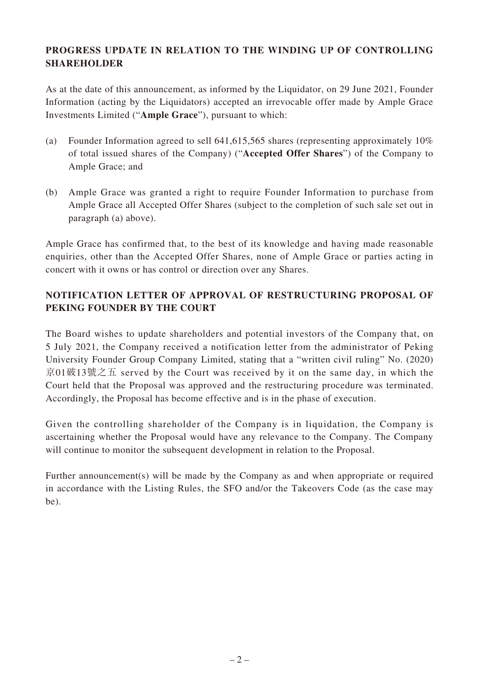#### **PROGRESS UPDATE IN RELATION TO THE WINDING UP OF CONTROLLING SHAREHOLDER**

As at the date of this announcement, as informed by the Liquidator, on 29 June 2021, Founder Information (acting by the Liquidators) accepted an irrevocable offer made by Ample Grace Investments Limited ("**Ample Grace**"), pursuant to which:

- (a) Founder Information agreed to sell 641,615,565 shares (representing approximately 10% of total issued shares of the Company) ("**Accepted Offer Shares**") of the Company to Ample Grace; and
- (b) Ample Grace was granted a right to require Founder Information to purchase from Ample Grace all Accepted Offer Shares (subject to the completion of such sale set out in paragraph (a) above).

Ample Grace has confirmed that, to the best of its knowledge and having made reasonable enquiries, other than the Accepted Offer Shares, none of Ample Grace or parties acting in concert with it owns or has control or direction over any Shares.

## **NOTIFICATION LETTER OF APPROVAL OF RESTRUCTURING PROPOSAL OF PEKING FOUNDER BY THE COURT**

The Board wishes to update shareholders and potential investors of the Company that, on 5 July 2021, the Company received a notification letter from the administrator of Peking University Founder Group Company Limited, stating that a "written civil ruling" No. (2020) 京01破13號之五 served by the Court was received by it on the same day, in which the Court held that the Proposal was approved and the restructuring procedure was terminated. Accordingly, the Proposal has become effective and is in the phase of execution.

Given the controlling shareholder of the Company is in liquidation, the Company is ascertaining whether the Proposal would have any relevance to the Company. The Company will continue to monitor the subsequent development in relation to the Proposal.

Further announcement(s) will be made by the Company as and when appropriate or required in accordance with the Listing Rules, the SFO and/or the Takeovers Code (as the case may be).